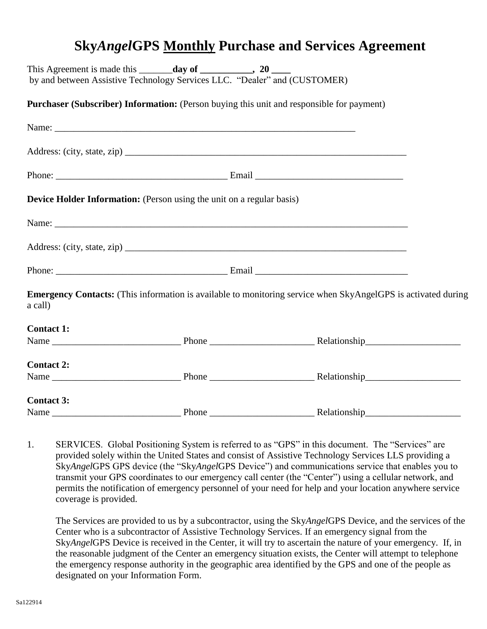# **Sky***Angel***GPS Monthly Purchase and Services Agreement**

|                   | This Agreement is made this _______ day of __________, 20 ____<br>by and between Assistive Technology Services LLC. "Dealer" and (CUSTOMER) |  |  |  |
|-------------------|---------------------------------------------------------------------------------------------------------------------------------------------|--|--|--|
|                   | Purchaser (Subscriber) Information: (Person buying this unit and responsible for payment)                                                   |  |  |  |
|                   |                                                                                                                                             |  |  |  |
|                   |                                                                                                                                             |  |  |  |
|                   |                                                                                                                                             |  |  |  |
|                   | Device Holder Information: (Person using the unit on a regular basis)                                                                       |  |  |  |
|                   |                                                                                                                                             |  |  |  |
|                   |                                                                                                                                             |  |  |  |
|                   |                                                                                                                                             |  |  |  |
| a call)           | <b>Emergency Contacts:</b> (This information is available to monitoring service when SkyAngelGPS is activated during                        |  |  |  |
| <b>Contact 1:</b> |                                                                                                                                             |  |  |  |
|                   |                                                                                                                                             |  |  |  |
| <b>Contact 2:</b> |                                                                                                                                             |  |  |  |
|                   |                                                                                                                                             |  |  |  |
| <b>Contact 3:</b> |                                                                                                                                             |  |  |  |
|                   |                                                                                                                                             |  |  |  |

1. SERVICES. Global Positioning System is referred to as "GPS" in this document. The "Services" are provided solely within the United States and consist of Assistive Technology Services LLS providing a Sky*Angel*GPS GPS device (the "Sky*Angel*GPS Device") and communications service that enables you to transmit your GPS coordinates to our emergency call center (the "Center") using a cellular network, and permits the notification of emergency personnel of your need for help and your location anywhere service coverage is provided.

The Services are provided to us by a subcontractor, using the Sky*Angel*GPS Device, and the services of the Center who is a subcontractor of Assistive Technology Services. If an emergency signal from the Sky*Angel*GPS Device is received in the Center, it will try to ascertain the nature of your emergency. If, in the reasonable judgment of the Center an emergency situation exists, the Center will attempt to telephone the emergency response authority in the geographic area identified by the GPS and one of the people as designated on your Information Form.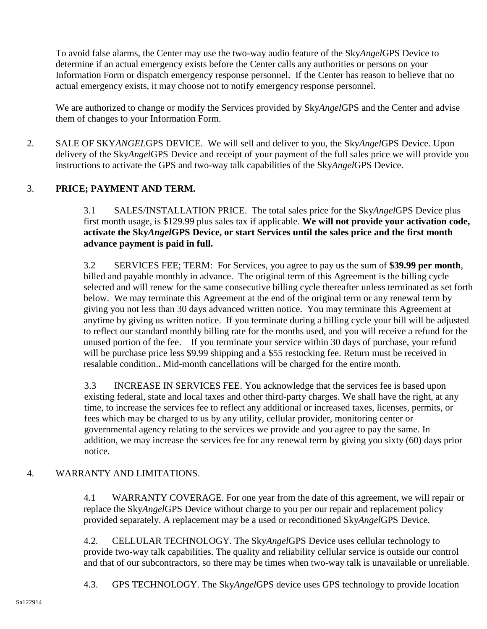To avoid false alarms, the Center may use the two-way audio feature of the Sky*Angel*GPS Device to determine if an actual emergency exists before the Center calls any authorities or persons on your Information Form or dispatch emergency response personnel. If the Center has reason to believe that no actual emergency exists, it may choose not to notify emergency response personnel.

We are authorized to change or modify the Services provided by Sky*Angel*GPS and the Center and advise them of changes to your Information Form.

2. SALE OF SKY*ANGEL*GPS DEVICE. We will sell and deliver to you, the Sky*Angel*GPS Device. Upon delivery of the Sky*Angel*GPS Device and receipt of your payment of the full sales price we will provide you instructions to activate the GPS and two-way talk capabilities of the Sky*Angel*GPS Device.

## 3. **PRICE; PAYMENT AND TERM.**

3.1 SALES/INSTALLATION PRICE. The total sales price for the Sky*Angel*GPS Device plus first month usage, is \$129.99 plus sales tax if applicable. **We will not provide your activation code, activate the Sky***Angel***GPS Device, or start Services until the sales price and the first month advance payment is paid in full.**

3.2 SERVICES FEE; TERM: For Services, you agree to pay us the sum of **\$39.99 per month**, billed and payable monthly in advance. The original term of this Agreement is the billing cycle selected and will renew for the same consecutive billing cycle thereafter unless terminated as set forth below. We may terminate this Agreement at the end of the original term or any renewal term by giving you not less than 30 days advanced written notice. You may terminate this Agreement at anytime by giving us written notice. If you terminate during a billing cycle your bill will be adjusted to reflect our standard monthly billing rate for the months used, and you will receive a refund for the unused portion of the fee. If you terminate your service within 30 days of purchase, your refund will be purchase price less \$9.99 shipping and a \$55 restocking fee. Return must be received in resalable condition.**.** Mid-month cancellations will be charged for the entire month.

3.3 INCREASE IN SERVICES FEE. You acknowledge that the services fee is based upon existing federal, state and local taxes and other third-party charges. We shall have the right, at any time, to increase the services fee to reflect any additional or increased taxes, licenses, permits, or fees which may be charged to us by any utility, cellular provider, monitoring center or governmental agency relating to the services we provide and you agree to pay the same. In addition, we may increase the services fee for any renewal term by giving you sixty (60) days prior notice.

### 4. WARRANTY AND LIMITATIONS.

4.1 WARRANTY COVERAGE. For one year from the date of this agreement, we will repair or replace the Sky*Angel*GPS Device without charge to you per our repair and replacement policy provided separately. A replacement may be a used or reconditioned Sky*Angel*GPS Device.

4.2. CELLULAR TECHNOLOGY. The Sky*Angel*GPS Device uses cellular technology to provide two-way talk capabilities. The quality and reliability cellular service is outside our control and that of our subcontractors, so there may be times when two-way talk is unavailable or unreliable.

4.3. GPS TECHNOLOGY. The Sky*Angel*GPS device uses GPS technology to provide location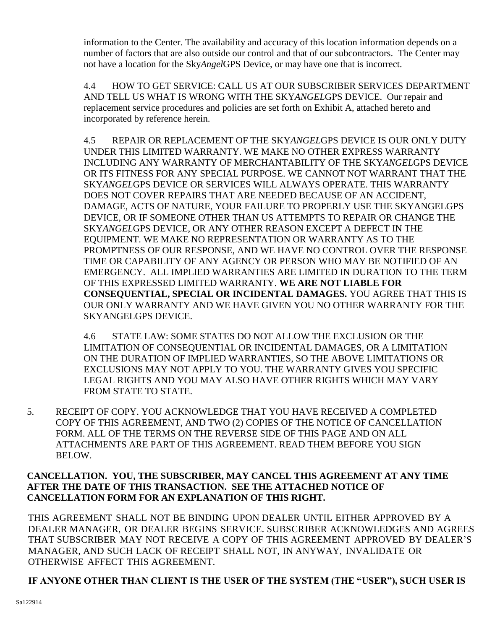information to the Center. The availability and accuracy of this location information depends on a number of factors that are also outside our control and that of our subcontractors. The Center may not have a location for the Sky*Angel*GPS Device, or may have one that is incorrect.

4.4 HOW TO GET SERVICE: CALL US AT OUR SUBSCRIBER SERVICES DEPARTMENT AND TELL US WHAT IS WRONG WITH THE SKY*ANGEL*GPS DEVICE. Our repair and replacement service procedures and policies are set forth on Exhibit A, attached hereto and incorporated by reference herein.

4.5 REPAIR OR REPLACEMENT OF THE SKY*ANGEL*GPS DEVICE IS OUR ONLY DUTY UNDER THIS LIMITED WARRANTY. WE MAKE NO OTHER EXPRESS WARRANTY INCLUDING ANY WARRANTY OF MERCHANTABILITY OF THE SKY*ANGEL*GPS DEVICE OR ITS FITNESS FOR ANY SPECIAL PURPOSE. WE CANNOT NOT WARRANT THAT THE SKY*ANGEL*GPS DEVICE OR SERVICES WILL ALWAYS OPERATE. THIS WARRANTY DOES NOT COVER REPAIRS THAT ARE NEEDED BECAUSE OF AN ACCIDENT, DAMAGE, ACTS OF NATURE, YOUR FAILURE TO PROPERLY USE THE SKYANGELGPS DEVICE, OR IF SOMEONE OTHER THAN US ATTEMPTS TO REPAIR OR CHANGE THE SKY*ANGEL*GPS DEVICE, OR ANY OTHER REASON EXCEPT A DEFECT IN THE EQUIPMENT. WE MAKE NO REPRESENTATION OR WARRANTY AS TO THE PROMPTNESS OF OUR RESPONSE, AND WE HAVE NO CONTROL OVER THE RESPONSE TIME OR CAPABILITY OF ANY AGENCY OR PERSON WHO MAY BE NOTIFIED OF AN EMERGENCY. ALL IMPLIED WARRANTIES ARE LIMITED IN DURATION TO THE TERM OF THIS EXPRESSED LIMITED WARRANTY. **WE ARE NOT LIABLE FOR CONSEQUENTIAL, SPECIAL OR INCIDENTAL DAMAGES.** YOU AGREE THAT THIS IS OUR ONLY WARRANTY AND WE HAVE GIVEN YOU NO OTHER WARRANTY FOR THE SKYANGELGPS DEVICE.

4.6 STATE LAW: SOME STATES DO NOT ALLOW THE EXCLUSION OR THE LIMITATION OF CONSEQUENTIAL OR INCIDENTAL DAMAGES, OR A LIMITATION ON THE DURATION OF IMPLIED WARRANTIES, SO THE ABOVE LIMITATIONS OR EXCLUSIONS MAY NOT APPLY TO YOU. THE WARRANTY GIVES YOU SPECIFIC LEGAL RIGHTS AND YOU MAY ALSO HAVE OTHER RIGHTS WHICH MAY VARY FROM STATE TO STATE.

5. RECEIPT OF COPY. YOU ACKNOWLEDGE THAT YOU HAVE RECEIVED A COMPLETED COPY OF THIS AGREEMENT, AND TWO (2) COPIES OF THE NOTICE OF CANCELLATION FORM. ALL OF THE TERMS ON THE REVERSE SIDE OF THIS PAGE AND ON ALL ATTACHMENTS ARE PART OF THIS AGREEMENT. READ THEM BEFORE YOU SIGN BELOW.

## **CANCELLATION. YOU, THE SUBSCRIBER, MAY CANCEL THIS AGREEMENT AT ANY TIME AFTER THE DATE OF THIS TRANSACTION. SEE THE ATTACHED NOTICE OF CANCELLATION FORM FOR AN EXPLANATION OF THIS RIGHT.**

THIS AGREEMENT SHALL NOT BE BINDING UPON DEALER UNTIL EITHER APPROVED BY A DEALER MANAGER, OR DEALER BEGINS SERVICE. SUBSCRIBER ACKNOWLEDGES AND AGREES THAT SUBSCRIBER MAY NOT RECEIVE A COPY OF THIS AGREEMENT APPROVED BY DEALER'S MANAGER, AND SUCH LACK OF RECEIPT SHALL NOT, IN ANYWAY, INVALIDATE OR OTHERWISE AFFECT THIS AGREEMENT.

**IF ANYONE OTHER THAN CLIENT IS THE USER OF THE SYSTEM (THE "USER"), SUCH USER IS**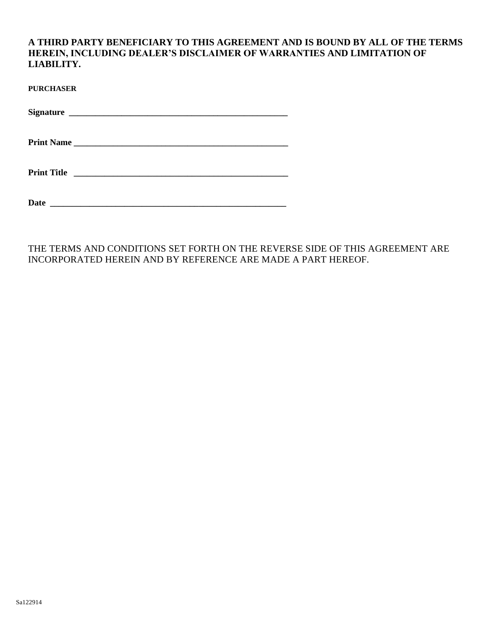#### **A THIRD PARTY BENEFICIARY TO THIS AGREEMENT AND IS BOUND BY ALL OF THE TERMS HEREIN, INCLUDING DEALER'S DISCLAIMER OF WARRANTIES AND LIMITATION OF LIABILITY.**

| <b>PURCHASER</b> |  |  |  |
|------------------|--|--|--|
|                  |  |  |  |
|                  |  |  |  |
| Print Title      |  |  |  |
|                  |  |  |  |

**Date \_\_\_\_\_\_\_\_\_\_\_\_\_\_\_\_\_\_\_\_\_\_\_\_\_\_\_\_\_\_\_\_\_\_\_\_\_\_\_\_\_\_\_\_\_\_\_\_\_\_\_\_\_\_**

THE TERMS AND CONDITIONS SET FORTH ON THE REVERSE SIDE OF THIS AGREEMENT ARE INCORPORATED HEREIN AND BY REFERENCE ARE MADE A PART HEREOF.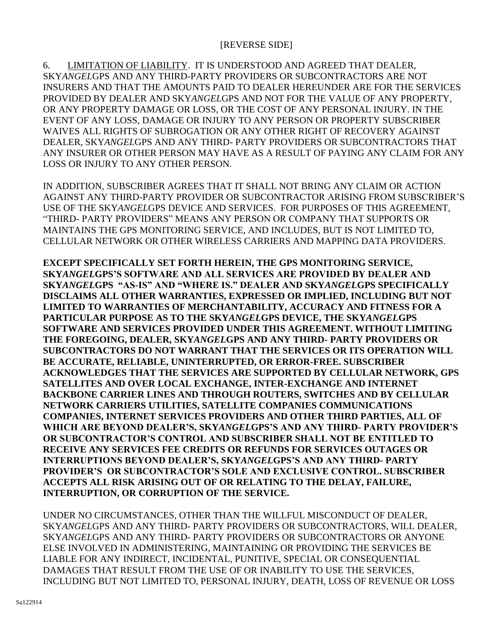6. LIMITATION OF LIABILITY. IT IS UNDERSTOOD AND AGREED THAT DEALER, SKY*ANGEL*GPS AND ANY THIRD-PARTY PROVIDERS OR SUBCONTRACTORS ARE NOT INSURERS AND THAT THE AMOUNTS PAID TO DEALER HEREUNDER ARE FOR THE SERVICES PROVIDED BY DEALER AND SKY*ANGEL*GPS AND NOT FOR THE VALUE OF ANY PROPERTY, OR ANY PROPERTY DAMAGE OR LOSS, OR THE COST OF ANY PERSONAL INJURY. IN THE EVENT OF ANY LOSS, DAMAGE OR INJURY TO ANY PERSON OR PROPERTY SUBSCRIBER WAIVES ALL RIGHTS OF SUBROGATION OR ANY OTHER RIGHT OF RECOVERY AGAINST DEALER, SKY*ANGEL*GPS AND ANY THIRD- PARTY PROVIDERS OR SUBCONTRACTORS THAT ANY INSURER OR OTHER PERSON MAY HAVE AS A RESULT OF PAYING ANY CLAIM FOR ANY LOSS OR INJURY TO ANY OTHER PERSON.

IN ADDITION, SUBSCRIBER AGREES THAT IT SHALL NOT BRING ANY CLAIM OR ACTION AGAINST ANY THIRD-PARTY PROVIDER OR SUBCONTRACTOR ARISING FROM SUBSCRIBER'S USE OF THE SKY*ANGEL*GPS DEVICE AND SERVICES. FOR PURPOSES OF THIS AGREEMENT, "THIRD- PARTY PROVIDERS" MEANS ANY PERSON OR COMPANY THAT SUPPORTS OR MAINTAINS THE GPS MONITORING SERVICE, AND INCLUDES, BUT IS NOT LIMITED TO, CELLULAR NETWORK OR OTHER WIRELESS CARRIERS AND MAPPING DATA PROVIDERS.

**EXCEPT SPECIFICALLY SET FORTH HEREIN, THE GPS MONITORING SERVICE, SKY***ANGEL***GPS'S SOFTWARE AND ALL SERVICES ARE PROVIDED BY DEALER AND SKY***ANGEL***GPS "AS-IS" AND "WHERE IS." DEALER AND SKY***ANGEL***GPS SPECIFICALLY DISCLAIMS ALL OTHER WARRANTIES, EXPRESSED OR IMPLIED, INCLUDING BUT NOT LIMITED TO WARRANTIES OF MERCHANTABILITY, ACCURACY AND FITNESS FOR A PARTICULAR PURPOSE AS TO THE SKY***ANGEL***GPS DEVICE, THE SKY***ANGEL***GPS SOFTWARE AND SERVICES PROVIDED UNDER THIS AGREEMENT. WITHOUT LIMITING THE FOREGOING, DEALER, SKY***ANGEL***GPS AND ANY THIRD- PARTY PROVIDERS OR SUBCONTRACTORS DO NOT WARRANT THAT THE SERVICES OR ITS OPERATION WILL BE ACCURATE, RELIABLE, UNINTERRUPTED, OR ERROR-FREE. SUBSCRIBER ACKNOWLEDGES THAT THE SERVICES ARE SUPPORTED BY CELLULAR NETWORK, GPS SATELLITES AND OVER LOCAL EXCHANGE, INTER-EXCHANGE AND INTERNET BACKBONE CARRIER LINES AND THROUGH ROUTERS, SWITCHES AND BY CELLULAR NETWORK CARRIERS UTILITIES, SATELLITE COMPANIES COMMUNICATIONS COMPANIES, INTERNET SERVICES PROVIDERS AND OTHER THIRD PARTIES, ALL OF WHICH ARE BEYOND DEALER'S, SKY***ANGEL***GPS'S AND ANY THIRD- PARTY PROVIDER'S OR SUBCONTRACTOR'S CONTROL AND SUBSCRIBER SHALL NOT BE ENTITLED TO RECEIVE ANY SERVICES FEE CREDITS OR REFUNDS FOR SERVICES OUTAGES OR INTERRUPTIONS BEYOND DEALER'S, SKY***ANGEL***GPS'S AND ANY THIRD- PARTY PROVIDER'S OR SUBCONTRACTOR'S SOLE AND EXCLUSIVE CONTROL. SUBSCRIBER ACCEPTS ALL RISK ARISING OUT OF OR RELATING TO THE DELAY, FAILURE, INTERRUPTION, OR CORRUPTION OF THE SERVICE.** 

UNDER NO CIRCUMSTANCES, OTHER THAN THE WILLFUL MISCONDUCT OF DEALER, SKY*ANGEL*GPS AND ANY THIRD- PARTY PROVIDERS OR SUBCONTRACTORS, WILL DEALER, SKY*ANGEL*GPS AND ANY THIRD- PARTY PROVIDERS OR SUBCONTRACTORS OR ANYONE ELSE INVOLVED IN ADMINISTERING, MAINTAINING OR PROVIDING THE SERVICES BE LIABLE FOR ANY INDIRECT, INCIDENTAL, PUNITIVE, SPECIAL OR CONSEQUENTIAL DAMAGES THAT RESULT FROM THE USE OF OR INABILITY TO USE THE SERVICES, INCLUDING BUT NOT LIMITED TO, PERSONAL INJURY, DEATH, LOSS OF REVENUE OR LOSS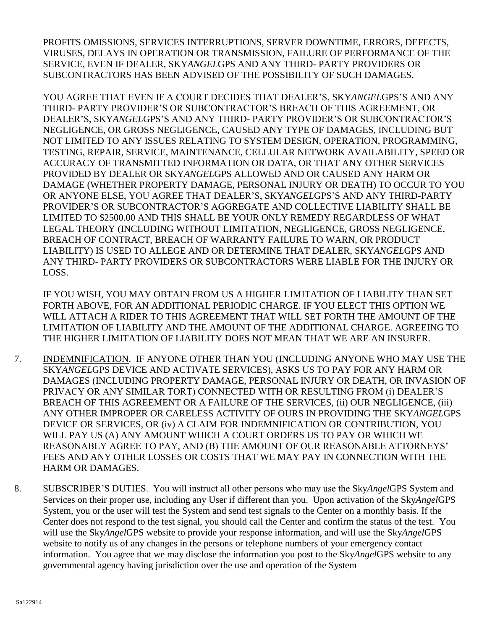PROFITS OMISSIONS, SERVICES INTERRUPTIONS, SERVER DOWNTIME, ERRORS, DEFECTS, VIRUSES, DELAYS IN OPERATION OR TRANSMISSION, FAILURE OF PERFORMANCE OF THE SERVICE, EVEN IF DEALER, SKY*ANGEL*GPS AND ANY THIRD- PARTY PROVIDERS OR SUBCONTRACTORS HAS BEEN ADVISED OF THE POSSIBILITY OF SUCH DAMAGES.

YOU AGREE THAT EVEN IF A COURT DECIDES THAT DEALER'S, SKY*ANGEL*GPS'S AND ANY THIRD- PARTY PROVIDER'S OR SUBCONTRACTOR'S BREACH OF THIS AGREEMENT, OR DEALER'S, SKY*ANGEL*GPS'S AND ANY THIRD- PARTY PROVIDER'S OR SUBCONTRACTOR'S NEGLIGENCE, OR GROSS NEGLIGENCE, CAUSED ANY TYPE OF DAMAGES, INCLUDING BUT NOT LIMITED TO ANY ISSUES RELATING TO SYSTEM DESIGN, OPERATION, PROGRAMMING, TESTING, REPAIR, SERVICE, MAINTENANCE, CELLULAR NETWORK AVAILABILITY, SPEED OR ACCURACY OF TRANSMITTED INFORMATION OR DATA, OR THAT ANY OTHER SERVICES PROVIDED BY DEALER OR SKY*ANGEL*GPS ALLOWED AND OR CAUSED ANY HARM OR DAMAGE (WHETHER PROPERTY DAMAGE, PERSONAL INJURY OR DEATH) TO OCCUR TO YOU OR ANYONE ELSE, YOU AGREE THAT DEALER'S, SKY*ANGEL*GPS'S AND ANY THIRD-PARTY PROVIDER'S OR SUBCONTRACTOR'S AGGREGATE AND COLLECTIVE LIABILITY SHALL BE LIMITED TO \$2500.00 AND THIS SHALL BE YOUR ONLY REMEDY REGARDLESS OF WHAT LEGAL THEORY (INCLUDING WITHOUT LIMITATION, NEGLIGENCE, GROSS NEGLIGENCE, BREACH OF CONTRACT, BREACH OF WARRANTY FAILURE TO WARN, OR PRODUCT LIABILITY) IS USED TO ALLEGE AND OR DETERMINE THAT DEALER, SKY*ANGEL*GPS AND ANY THIRD- PARTY PROVIDERS OR SUBCONTRACTORS WERE LIABLE FOR THE INJURY OR LOSS.

IF YOU WISH, YOU MAY OBTAIN FROM US A HIGHER LIMITATION OF LIABILITY THAN SET FORTH ABOVE, FOR AN ADDITIONAL PERIODIC CHARGE. IF YOU ELECT THIS OPTION WE WILL ATTACH A RIDER TO THIS AGREEMENT THAT WILL SET FORTH THE AMOUNT OF THE LIMITATION OF LIABILITY AND THE AMOUNT OF THE ADDITIONAL CHARGE. AGREEING TO THE HIGHER LIMITATION OF LIABILITY DOES NOT MEAN THAT WE ARE AN INSURER.

- 7. INDEMNIFICATION. IF ANYONE OTHER THAN YOU (INCLUDING ANYONE WHO MAY USE THE SKY*ANGEL*GPS DEVICE AND ACTIVATE SERVICES), ASKS US TO PAY FOR ANY HARM OR DAMAGES (INCLUDING PROPERTY DAMAGE, PERSONAL INJURY OR DEATH, OR INVASION OF PRIVACY OR ANY SIMILAR TORT) CONNECTED WITH OR RESULTING FROM (i) DEALER'S BREACH OF THIS AGREEMENT OR A FAILURE OF THE SERVICES, (ii) OUR NEGLIGENCE, (iii) ANY OTHER IMPROPER OR CARELESS ACTIVITY OF OURS IN PROVIDING THE SKY*ANGEL*GPS DEVICE OR SERVICES, OR (iv) A CLAIM FOR INDEMNIFICATION OR CONTRIBUTION, YOU WILL PAY US (A) ANY AMOUNT WHICH A COURT ORDERS US TO PAY OR WHICH WE REASONABLY AGREE TO PAY, AND (B) THE AMOUNT OF OUR REASONABLE ATTORNEYS' FEES AND ANY OTHER LOSSES OR COSTS THAT WE MAY PAY IN CONNECTION WITH THE HARM OR DAMAGES.
- 8. SUBSCRIBER'S DUTIES. You will instruct all other persons who may use the Sky*Angel*GPS System and Services on their proper use, including any User if different than you. Upon activation of the Sky*Angel*GPS System, you or the user will test the System and send test signals to the Center on a monthly basis. If the Center does not respond to the test signal, you should call the Center and confirm the status of the test. You will use the Sky*Angel*GPS website to provide your response information, and will use the Sky*Angel*GPS website to notify us of any changes in the persons or telephone numbers of your emergency contact information. You agree that we may disclose the information you post to the Sky*Angel*GPS website to any governmental agency having jurisdiction over the use and operation of the System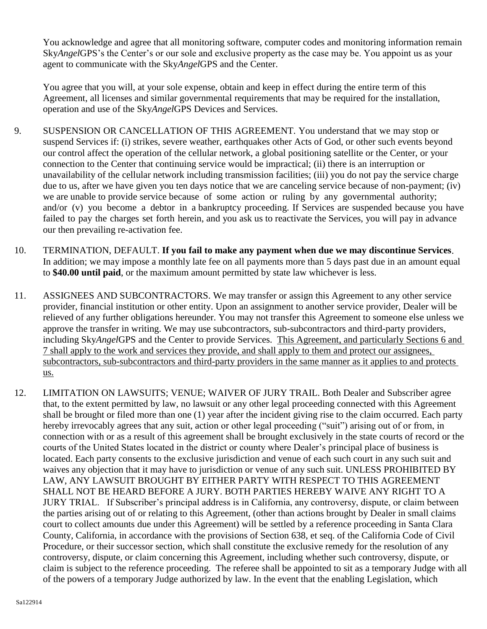You acknowledge and agree that all monitoring software, computer codes and monitoring information remain Sky*Angel*GPS's the Center's or our sole and exclusive property as the case may be. You appoint us as your agent to communicate with the Sky*Angel*GPS and the Center.

You agree that you will, at your sole expense, obtain and keep in effect during the entire term of this Agreement, all licenses and similar governmental requirements that may be required for the installation, operation and use of the Sky*Angel*GPS Devices and Services.

- 9. SUSPENSION OR CANCELLATION OF THIS AGREEMENT. You understand that we may stop or suspend Services if: (i) strikes, severe weather, earthquakes other Acts of God, or other such events beyond our control affect the operation of the cellular network, a global positioning satellite or the Center, or your connection to the Center that continuing service would be impractical; (ii) there is an interruption or unavailability of the cellular network including transmission facilities; (iii) you do not pay the service charge due to us, after we have given you ten days notice that we are canceling service because of non-payment; (iv) we are unable to provide service because of some action or ruling by any governmental authority; and/or (v) you become a debtor in a bankruptcy proceeding. If Services are suspended because you have failed to pay the charges set forth herein, and you ask us to reactivate the Services, you will pay in advance our then prevailing re-activation fee.
- 10. TERMINATION, DEFAULT. **If you fail to make any payment when due we may discontinue Services**. In addition; we may impose a monthly late fee on all payments more than 5 days past due in an amount equal to **\$40.00 until paid**, or the maximum amount permitted by state law whichever is less.
- 11. ASSIGNEES AND SUBCONTRACTORS. We may transfer or assign this Agreement to any other service provider, financial institution or other entity. Upon an assignment to another service provider, Dealer will be relieved of any further obligations hereunder. You may not transfer this Agreement to someone else unless we approve the transfer in writing. We may use subcontractors, sub-subcontractors and third-party providers, including Sky*Angel*GPS and the Center to provide Services. This Agreement, and particularly Sections 6 and 7 shall apply to the work and services they provide, and shall apply to them and protect our assignees, subcontractors, sub-subcontractors and third-party providers in the same manner as it applies to and protects us.
- 12. LIMITATION ON LAWSUITS; VENUE; WAIVER OF JURY TRAIL. Both Dealer and Subscriber agree that, to the extent permitted by law, no lawsuit or any other legal proceeding connected with this Agreement shall be brought or filed more than one (1) year after the incident giving rise to the claim occurred. Each party hereby irrevocably agrees that any suit, action or other legal proceeding ("suit") arising out of or from, in connection with or as a result of this agreement shall be brought exclusively in the state courts of record or the courts of the United States located in the district or county where Dealer's principal place of business is located. Each party consents to the exclusive jurisdiction and venue of each such court in any such suit and waives any objection that it may have to jurisdiction or venue of any such suit. UNLESS PROHIBITED BY LAW, ANY LAWSUIT BROUGHT BY EITHER PARTY WITH RESPECT TO THIS AGREEMENT SHALL NOT BE HEARD BEFORE A JURY. BOTH PARTIES HEREBY WAIVE ANY RIGHT TO A JURY TRIAL. If Subscriber's principal address is in California, any controversy, dispute, or claim between the parties arising out of or relating to this Agreement, (other than actions brought by Dealer in small claims court to collect amounts due under this Agreement) will be settled by a reference proceeding in Santa Clara County, California, in accordance with the provisions of Section 638, et seq. of the California Code of Civil Procedure, or their successor section, which shall constitute the exclusive remedy for the resolution of any controversy, dispute, or claim concerning this Agreement, including whether such controversy, dispute, or claim is subject to the reference proceeding. The referee shall be appointed to sit as a temporary Judge with all of the powers of a temporary Judge authorized by law. In the event that the enabling Legislation, which